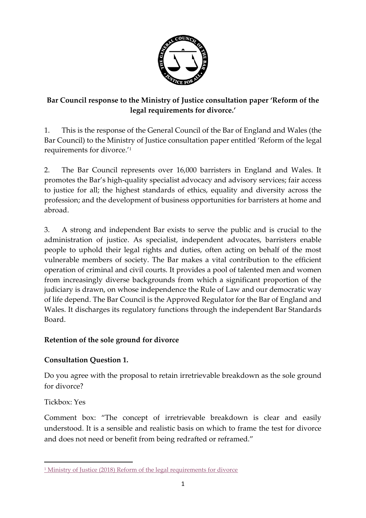

# **Bar Council response to the Ministry of Justice consultation paper 'Reform of the legal requirements for divorce.'**

1. This is the response of the General Council of the Bar of England and Wales (the Bar Council) to the Ministry of Justice consultation paper entitled 'Reform of the legal requirements for divorce.'<sup>1</sup>

2. The Bar Council represents over 16,000 barristers in England and Wales. It promotes the Bar's high-quality specialist advocacy and advisory services; fair access to justice for all; the highest standards of ethics, equality and diversity across the profession; and the development of business opportunities for barristers at home and abroad.

3. A strong and independent Bar exists to serve the public and is crucial to the administration of justice. As specialist, independent advocates, barristers enable people to uphold their legal rights and duties, often acting on behalf of the most vulnerable members of society. The Bar makes a vital contribution to the efficient operation of criminal and civil courts. It provides a pool of talented men and women from increasingly diverse backgrounds from which a significant proportion of the judiciary is drawn, on whose independence the Rule of Law and our democratic way of life depend. The Bar Council is the Approved Regulator for the Bar of England and Wales. It discharges its regulatory functions through the independent Bar Standards Board.

# **Retention of the sole ground for divorce**

## **Consultation Question 1.**

Do you agree with the proposal to retain irretrievable breakdown as the sole ground for divorce?

## Tickbox: Yes

 $\overline{a}$ 

Comment box: "The concept of irretrievable breakdown is clear and easily understood. It is a sensible and realistic basis on which to frame the test for divorce and does not need or benefit from being redrafted or reframed."

<sup>&</sup>lt;sup>1</sup> [Ministry of Justice \(2018\) Reform of the legal requirements for divorce](https://consult.justice.gov.uk/digital-communications/reform-of-the-legal-requirements-for-divorce/)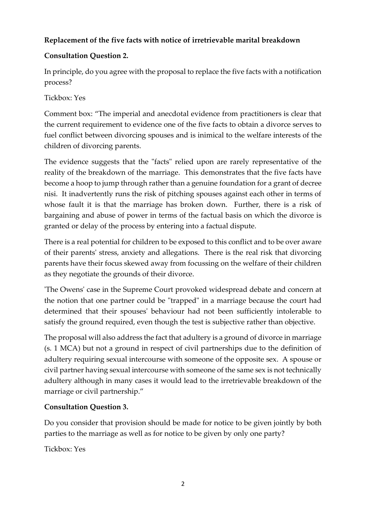# **Replacement of the five facts with notice of irretrievable marital breakdown**

# **Consultation Question 2.**

In principle, do you agree with the proposal to replace the five facts with a notification process?

# Tickbox: Yes

Comment box: "The imperial and anecdotal evidence from practitioners is clear that the current requirement to evidence one of the five facts to obtain a divorce serves to fuel conflict between divorcing spouses and is inimical to the welfare interests of the children of divorcing parents.

The evidence suggests that the "facts" relied upon are rarely representative of the reality of the breakdown of the marriage. This demonstrates that the five facts have become a hoop to jump through rather than a genuine foundation for a grant of decree nisi. It inadvertently runs the risk of pitching spouses against each other in terms of whose fault it is that the marriage has broken down. Further, there is a risk of bargaining and abuse of power in terms of the factual basis on which the divorce is granted or delay of the process by entering into a factual dispute.

There is a real potential for children to be exposed to this conflict and to be over aware of their parents' stress, anxiety and allegations. There is the real risk that divorcing parents have their focus skewed away from focussing on the welfare of their children as they negotiate the grounds of their divorce.

'The Owens' case in the Supreme Court provoked widespread debate and concern at the notion that one partner could be "trapped" in a marriage because the court had determined that their spouses' behaviour had not been sufficiently intolerable to satisfy the ground required, even though the test is subjective rather than objective.

The proposal will also address the fact that adultery is a ground of divorce in marriage (s. 1 MCA) but not a ground in respect of civil partnerships due to the definition of adultery requiring sexual intercourse with someone of the opposite sex. A spouse or civil partner having sexual intercourse with someone of the same sex is not technically adultery although in many cases it would lead to the irretrievable breakdown of the marriage or civil partnership."

# **Consultation Question 3.**

Do you consider that provision should be made for notice to be given jointly by both parties to the marriage as well as for notice to be given by only one party?

Tickbox: Yes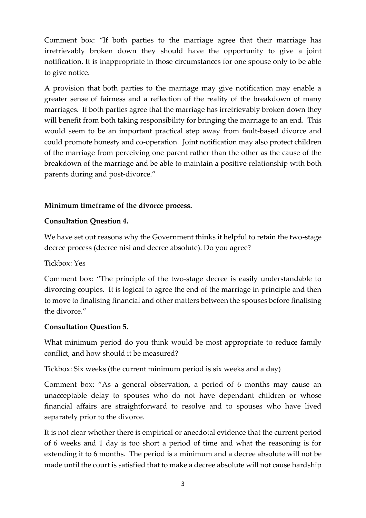Comment box: "If both parties to the marriage agree that their marriage has irretrievably broken down they should have the opportunity to give a joint notification. It is inappropriate in those circumstances for one spouse only to be able to give notice.

A provision that both parties to the marriage may give notification may enable a greater sense of fairness and a reflection of the reality of the breakdown of many marriages. If both parties agree that the marriage has irretrievably broken down they will benefit from both taking responsibility for bringing the marriage to an end. This would seem to be an important practical step away from fault-based divorce and could promote honesty and co-operation. Joint notification may also protect children of the marriage from perceiving one parent rather than the other as the cause of the breakdown of the marriage and be able to maintain a positive relationship with both parents during and post-divorce."

#### **Minimum timeframe of the divorce process.**

### **Consultation Question 4.**

We have set out reasons why the Government thinks it helpful to retain the two-stage decree process (decree nisi and decree absolute). Do you agree?

#### Tickbox: Yes

Comment box: "The principle of the two-stage decree is easily understandable to divorcing couples. It is logical to agree the end of the marriage in principle and then to move to finalising financial and other matters between the spouses before finalising the divorce."

#### **Consultation Question 5.**

What minimum period do you think would be most appropriate to reduce family conflict, and how should it be measured?

Tickbox: Six weeks (the current minimum period is six weeks and a day)

Comment box: "As a general observation, a period of 6 months may cause an unacceptable delay to spouses who do not have dependant children or whose financial affairs are straightforward to resolve and to spouses who have lived separately prior to the divorce.

It is not clear whether there is empirical or anecdotal evidence that the current period of 6 weeks and 1 day is too short a period of time and what the reasoning is for extending it to 6 months. The period is a minimum and a decree absolute will not be made until the court is satisfied that to make a decree absolute will not cause hardship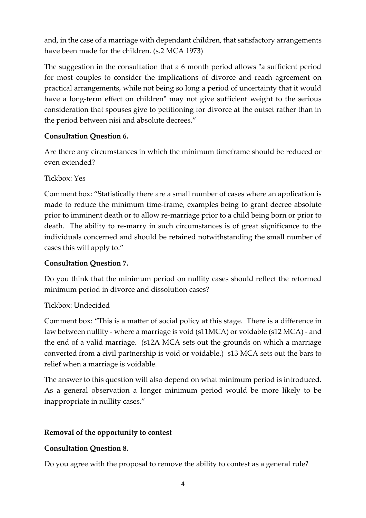and, in the case of a marriage with dependant children, that satisfactory arrangements have been made for the children. (s.2 MCA 1973)

The suggestion in the consultation that a 6 month period allows "a sufficient period for most couples to consider the implications of divorce and reach agreement on practical arrangements, while not being so long a period of uncertainty that it would have a long-term effect on children" may not give sufficient weight to the serious consideration that spouses give to petitioning for divorce at the outset rather than in the period between nisi and absolute decrees."

## **Consultation Question 6.**

Are there any circumstances in which the minimum timeframe should be reduced or even extended?

Tickbox: Yes

Comment box: "Statistically there are a small number of cases where an application is made to reduce the minimum time-frame, examples being to grant decree absolute prior to imminent death or to allow re-marriage prior to a child being born or prior to death. The ability to re-marry in such circumstances is of great significance to the individuals concerned and should be retained notwithstanding the small number of cases this will apply to."

### **Consultation Question 7.**

Do you think that the minimum period on nullity cases should reflect the reformed minimum period in divorce and dissolution cases?

Tickbox: Undecided

Comment box: "This is a matter of social policy at this stage. There is a difference in law between nullity - where a marriage is void (s11MCA) or voidable (s12 MCA) - and the end of a valid marriage. (s12A MCA sets out the grounds on which a marriage converted from a civil partnership is void or voidable.) s13 MCA sets out the bars to relief when a marriage is voidable.

The answer to this question will also depend on what minimum period is introduced. As a general observation a longer minimum period would be more likely to be inappropriate in nullity cases."

## **Removal of the opportunity to contest**

## **Consultation Question 8.**

Do you agree with the proposal to remove the ability to contest as a general rule?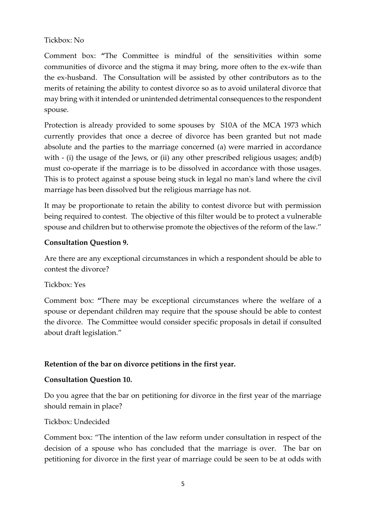#### Tickbox: No

Comment box: **"**The Committee is mindful of the sensitivities within some communities of divorce and the stigma it may bring, more often to the ex-wife than the ex-husband. The Consultation will be assisted by other contributors as to the merits of retaining the ability to contest divorce so as to avoid unilateral divorce that may bring with it intended or unintended detrimental consequences to the respondent spouse.

Protection is already provided to some spouses by S10A of the MCA 1973 which currently provides that once a decree of divorce has been granted but not made absolute and the parties to the marriage concerned (a) were married in accordance with - (i) the usage of the Jews, or (ii) any other prescribed religious usages; and(b) must co-operate if the marriage is to be dissolved in accordance with those usages. This is to protect against a spouse being stuck in legal no man's land where the civil marriage has been dissolved but the religious marriage has not.

It may be proportionate to retain the ability to contest divorce but with permission being required to contest. The objective of this filter would be to protect a vulnerable spouse and children but to otherwise promote the objectives of the reform of the law."

### **Consultation Question 9.**

Are there are any exceptional circumstances in which a respondent should be able to contest the divorce?

#### Tickbox: Yes

Comment box: **"**There may be exceptional circumstances where the welfare of a spouse or dependant children may require that the spouse should be able to contest the divorce. The Committee would consider specific proposals in detail if consulted about draft legislation."

## **Retention of the bar on divorce petitions in the first year.**

#### **Consultation Question 10.**

Do you agree that the bar on petitioning for divorce in the first year of the marriage should remain in place?

#### Tickbox: Undecided

Comment box: "The intention of the law reform under consultation in respect of the decision of a spouse who has concluded that the marriage is over. The bar on petitioning for divorce in the first year of marriage could be seen to be at odds with